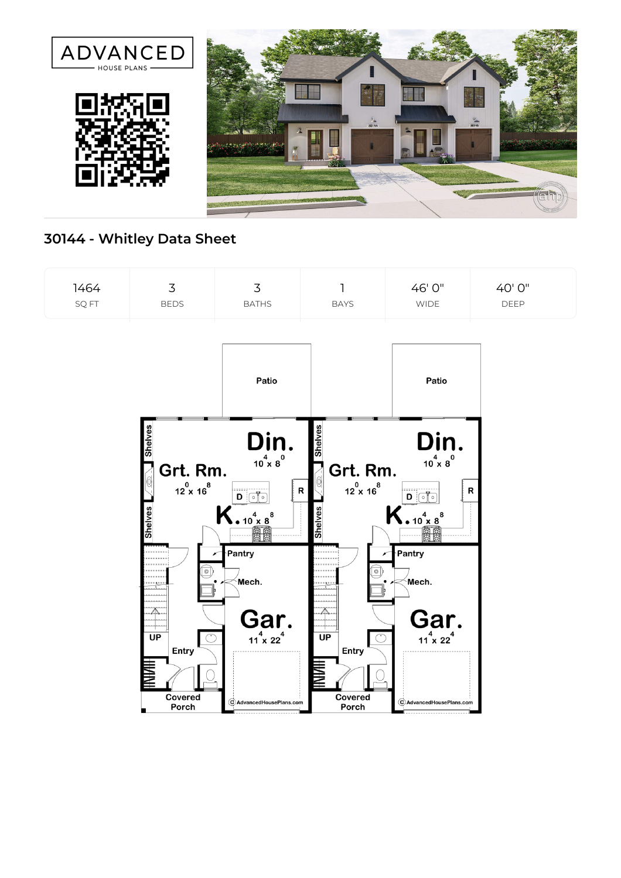

## **30144 - Whitley Data Sheet**

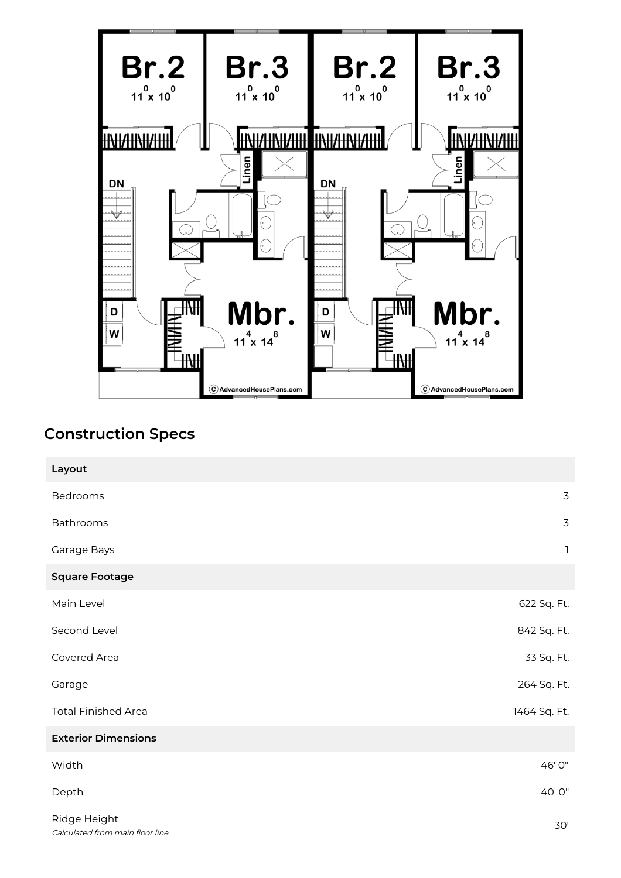

## **Construction Specs**

| Layout                                          |                |
|-------------------------------------------------|----------------|
| Bedrooms                                        | 3              |
| Bathrooms                                       | $\overline{3}$ |
| Garage Bays                                     | $\mathbf{1}$   |
| <b>Square Footage</b>                           |                |
| Main Level                                      | 622 Sq. Ft.    |
| Second Level                                    | 842 Sq. Ft.    |
| Covered Area                                    | 33 Sq. Ft.     |
| Garage                                          | 264 Sq. Ft.    |
| <b>Total Finished Area</b>                      | 1464 Sq. Ft.   |
| <b>Exterior Dimensions</b>                      |                |
| Width                                           | 46' 0"         |
| Depth                                           | 40'0"          |
| Ridge Height<br>Calculated from main floor line | $30'$          |